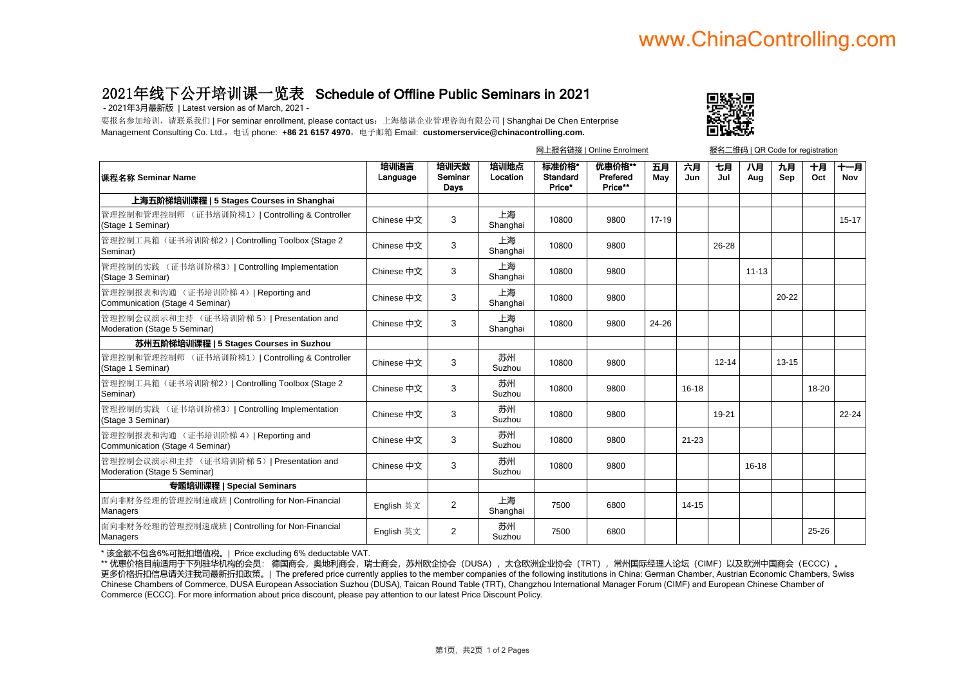## www.ChinaControlling.com

## 2021年线下公开培训课一览表 Schedule of Offline Public Seminars in 2021

- 2021年3月最新版 | Latest version as of March, 2021 -

要报名参加培训,请联系我们 | For seminar enrollment, please contact us: 上海德谌企业管理咨询有限公司 | Shanghai De Chen Enterprise Management Consulting Co. Ltd., 电话 phone: **+86 21 6157 4970**, 电子邮箱 Email: **customerservice@chinacontrolling.com.** 



|                                                                           |                  |                         |                  | 网上报名链接   Online Enrolment   |                               |           |           | 报名二维码   QR Code for registration |           |           |           |            |
|---------------------------------------------------------------------------|------------------|-------------------------|------------------|-----------------------------|-------------------------------|-----------|-----------|----------------------------------|-----------|-----------|-----------|------------|
| 课程名称 Seminar Name                                                         | 培训语言<br>Language | 培训天数<br>Seminar<br>Days | 培训地点<br>Location | 标准价格*<br>Standard<br>Price* | 优惠价格**<br>Prefered<br>Price** | 五月<br>May | 六月<br>Jun | 七月<br>Jul                        | 八月<br>Aug | 九月<br>Sep | 十月<br>Oct | 十一月<br>Nov |
| 上海五阶梯培训课程   5 Stages Courses in Shanghai                                  |                  |                         |                  |                             |                               |           |           |                                  |           |           |           |            |
| 管理控制和管理控制师 (证书培训阶梯1)   Controlling & Controller<br>(Stage 1 Seminar)      | Chinese 中文       | 3                       | 上海<br>Shanghai   | 10800                       | 9800                          | 17-19     |           |                                  |           |           |           | $15 - 17$  |
| 管理控制工具箱(证书培训阶梯2)   Controlling Toolbox (Stage 2<br>Seminar)               | Chinese 中文       | 3                       | 上海<br>Shanghai   | 10800                       | 9800                          |           |           | 26-28                            |           |           |           |            |
| 管理控制的实践 (证书培训阶梯3)   Controlling Implementation<br>(Stage 3 Seminar)       | Chinese 中文       | 3                       | 上海<br>Shanghai   | 10800                       | 9800                          |           |           |                                  | $11 - 13$ |           |           |            |
| 管理控制报表和沟通 (证书培训阶梯 4)   Reporting and<br>Communication (Stage 4 Seminar)   | Chinese 中文       | 3                       | 上海<br>Shanghai   | 10800                       | 9800                          |           |           |                                  |           | $20 - 22$ |           |            |
| 管理控制会议演示和主持 (证书培训阶梯 5)   Presentation and<br>Moderation (Stage 5 Seminar) | Chinese 中文       | 3                       | 上海<br>Shanghai   | 10800                       | 9800                          | 24-26     |           |                                  |           |           |           |            |
| 苏州五阶梯培训课程   5 Stages Courses in Suzhou                                    |                  |                         |                  |                             |                               |           |           |                                  |           |           |           |            |
| 管理控制和管理控制师 (证书培训阶梯1)   Controlling & Controller<br>(Stage 1 Seminar)      | Chinese 中文       | 3                       | 苏州<br>Suzhou     | 10800                       | 9800                          |           |           | $12 - 14$                        |           | $13 - 15$ |           |            |
| 管理控制工具箱(证书培训阶梯2)   Controlling Toolbox (Stage 2<br>Seminar)               | Chinese 中文       | 3                       | 苏州<br>Suzhou     | 10800                       | 9800                          |           | $16 - 18$ |                                  |           |           | 18-20     |            |
| 管理控制的实践 (证书培训阶梯3)   Controlling Implementation<br>(Stage 3 Seminar)       | Chinese 中文       | 3                       | 苏州<br>Suzhou     | 10800                       | 9800                          |           |           | 19-21                            |           |           |           | $22 - 24$  |
| 管理控制报表和沟通 (证书培训阶梯 4)   Reporting and<br>Communication (Stage 4 Seminar)   | Chinese 中文       | 3                       | 苏州<br>Suzhou     | 10800                       | 9800                          |           | $21 - 23$ |                                  |           |           |           |            |
| 管理控制会议演示和主持 (证书培训阶梯 5)   Presentation and<br>Moderation (Stage 5 Seminar) | Chinese 中文       | 3                       | 苏州<br>Suzhou     | 10800                       | 9800                          |           |           |                                  | $16 - 18$ |           |           |            |
| 专题培训课程   Special Seminars                                                 |                  |                         |                  |                             |                               |           |           |                                  |           |           |           |            |
| 面向非财务经理的管理控制速成班   Controlling for Non-Financial<br>Managers               | English 英文       | $\overline{2}$          | 上海<br>Shanghai   | 7500                        | 6800                          |           | $14 - 15$ |                                  |           |           |           |            |
| 面向非财务经理的管理控制速成班   Controlling for Non-Financial<br>Managers               | English 英文       | 2                       | 苏州<br>Suzhou     | 7500                        | 6800                          |           |           |                                  |           |           | 25-26     |            |

\* 该金额不包含6%可抵扣增值税。| Price excluding 6% deductable VAT.

\*\* 优惠价格目前适用于下列驻华机构的会员: 德国商会,奥地利商会,瑞士商会,苏州欧企协会(DUSA),太仓欧洲企业协会(TRT),常州国际经理人论坛(CIMF)以及欧洲中国商会(ECCC)。 更多价格折扣信息请关注我司最新折扣政策。| The prefered price currently applies to the member companies of the following institutions in China: German Chamber, Austrian Economic Chambers, Swiss Chinese Chambers of Commerce, DUSA European Association Suzhou (DUSA), Taican Round Table (TRT), Changzhou International Manager Forum (CIMF) and European Chinese Chamber of Commerce (ECCC). For more information about price discount, please pay attention to our latest Price Discount Policy.